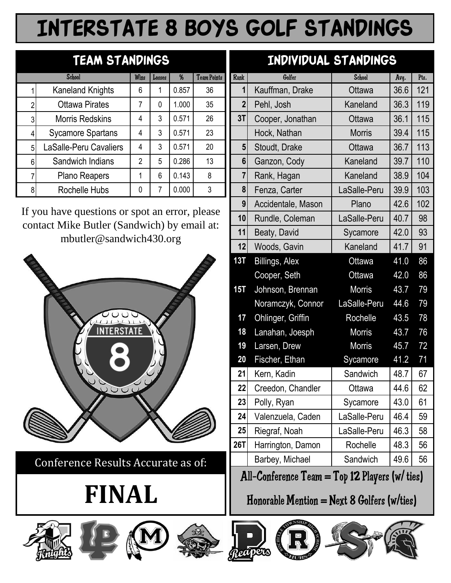# Interstate 8 BOYS Golf Standings

|                | <b>School</b>                 | Wins           | Losses | %     | <b>Team Points</b> |
|----------------|-------------------------------|----------------|--------|-------|--------------------|
|                | <b>Kaneland Knights</b>       | 6              |        | 0.857 | 36                 |
| $\overline{2}$ | <b>Ottawa Pirates</b>         | 7              | 0      | 1.000 | 35                 |
| 3              | <b>Morris Redskins</b>        | 4              | 3      | 0.571 | 26                 |
|                | <b>Sycamore Spartans</b>      | 4              | 3      | 0.571 | 23                 |
| 5              | <b>LaSalle-Peru Cavaliers</b> | 4              | 3      | 0.571 | 20                 |
| 6              | Sandwich Indians              | $\overline{2}$ | 5      | 0.286 | 13                 |
|                | Plano Reapers                 | 1              | 6      | 0.143 | 8                  |
| 8              | <b>Rochelle Hubs</b>          | 0              |        | 0.000 | 3                  |

If you have questions or spot an error, please contact Mike Butler (Sandwich) by email at: mbutler@sandwich430.org



**Conference Results Accurate as of:** 

# **FINAL**







### TEAM STANDINGS **INDIVIDUAL STANDINGS**

|   | <b>School</b>                                                                             | Wins           | Losses         | %     | <b>Team Points</b> | Rank           | Golfer                                           | <b>School</b> | Avq. | Pts. |
|---|-------------------------------------------------------------------------------------------|----------------|----------------|-------|--------------------|----------------|--------------------------------------------------|---------------|------|------|
|   | <b>Kaneland Knights</b>                                                                   | 6              | 1              | 0.857 | 36                 |                | Kauffman, Drake                                  | Ottawa        | 36.6 | 121  |
|   | <b>Ottawa Pirates</b>                                                                     | $\overline{7}$ | 0              | 1.000 | 35                 | $\overline{2}$ | Pehl, Josh                                       | Kaneland      | 36.3 | 119  |
|   | <b>Morris Redskins</b>                                                                    | $\overline{4}$ | 3              | 0.571 | 26                 | 3T             | Cooper, Jonathan                                 | Ottawa        | 36.1 | 115  |
|   | <b>Sycamore Spartans</b>                                                                  | 4              | 3              | 0.571 | 23                 |                | Hock, Nathan                                     | <b>Morris</b> | 39.4 | 115  |
| 5 | <b>LaSalle-Peru Cavaliers</b>                                                             | 4              | 3              | 0.571 | 20                 | 5 <sup>1</sup> | Stoudt, Drake                                    | Ottawa        | 36.7 | 113  |
| 6 | Sandwich Indians                                                                          | $\overline{2}$ | 5              | 0.286 | 13                 | 6              | Ganzon, Cody                                     | Kaneland      | 39.7 | 110  |
|   | Plano Reapers                                                                             | 1              | 6              | 0.143 | 8                  | $\overline{7}$ | Rank, Hagan                                      | Kaneland      | 38.9 | 104  |
|   | Rochelle Hubs                                                                             | $\mathbf 0$    | $\overline{7}$ | 0.000 | 3                  | 8              | Fenza, Carter                                    | LaSalle-Peru  | 39.9 | 103  |
|   |                                                                                           |                |                |       |                    | 9              | Accidentale, Mason                               | Plano         | 42.6 | 102  |
|   | you have questions or spot an error, please<br>ontact Mike Butler (Sandwich) by email at: |                |                |       |                    | 10             | Rundle, Coleman                                  | LaSalle-Peru  | 40.7 | 98   |
|   | mbutler@sandwich430.org                                                                   |                |                |       |                    | 11             | Beaty, David                                     | Sycamore      | 42.0 | 93   |
|   |                                                                                           |                |                |       |                    | 12             | Woods, Gavin                                     | Kaneland      | 41.7 | 91   |
|   |                                                                                           |                |                |       |                    | 13T            | Billings, Alex                                   | Ottawa        | 41.0 | 86   |
|   |                                                                                           |                |                |       |                    |                | Cooper, Seth                                     | Ottawa        | 42.0 | 86   |
|   |                                                                                           |                |                |       |                    | 15T            | Johnson, Brennan                                 | <b>Morris</b> | 43.7 | 79   |
|   |                                                                                           |                |                |       |                    |                | Noramczyk, Connor                                | LaSalle-Peru  | 44.6 | 79   |
|   |                                                                                           |                |                |       |                    | 17             | Ohlinger, Griffin                                | Rochelle      | 43.5 | 78   |
|   |                                                                                           |                |                |       |                    | 18             | Lanahan, Joesph                                  | <b>Morris</b> | 43.7 | 76   |
|   |                                                                                           |                |                |       |                    | 19             | Larsen, Drew                                     | <b>Morris</b> | 45.7 | 72   |
|   |                                                                                           |                |                |       |                    | 20             | Fischer, Ethan                                   | Sycamore      | 41.2 | 71   |
|   |                                                                                           |                |                |       |                    | 21             | Kern, Kadin                                      | Sandwich      | 48.7 | 67   |
|   | $\overline{\mathcal{C}}$                                                                  |                |                |       |                    | 22             | Creedon, Chandler                                | Ottawa        | 44.6 | 62   |
|   |                                                                                           |                |                |       |                    | 23             | Polly, Ryan                                      | Sycamore      | 43.0 | 61   |
|   |                                                                                           |                |                |       |                    | 24             | Valenzuela, Caden                                | LaSalle-Peru  | 46.4 | 59   |
|   |                                                                                           |                |                |       |                    | 25             | Riegraf, Noah                                    | LaSalle-Peru  | 46.3 | 58   |
|   |                                                                                           |                |                |       |                    | <b>26T</b>     | Harrington, Damon                                | Rochelle      | 48.3 | 56   |
|   | Conference Results Accurate as of:                                                        |                |                |       |                    |                | Barbey, Michael                                  | Sandwich      | 49.6 | 56   |
|   |                                                                                           |                |                |       |                    |                | All-Conference $Team = Top 12$ Players (w/ ties) |               |      |      |

#### Honorable Mention =  $Next 8$  Golfers (w/ties)





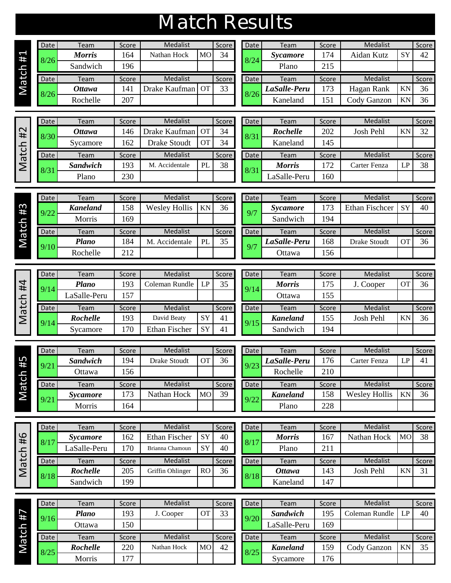| Match Results |
|---------------|

|                 | Date | Team          | Score | Medalist      |           | Score | Date | Team            | Score | Medalist    |    | Score |
|-----------------|------|---------------|-------|---------------|-----------|-------|------|-----------------|-------|-------------|----|-------|
| 1#              | 8/26 | <b>Morris</b> | 164   | Nathan Hock   | <b>MO</b> | 34    | 8/24 | <i>Sycamore</i> | 174   | Aidan Kutz  | SY | 42    |
|                 |      | Sandwich      | 196   |               |           |       |      | Plano           | 215   |             |    |       |
|                 | Date | Team          | Score | Medalist      |           | Score | Date | Team            | Score | Medalist    |    | Score |
| Match           | 8/26 | <b>Ottawa</b> | 141   | Drake Kaufman | <b>OT</b> | 33    | 8/26 | LaSalle-Peru    | 173   | Hagan Rank  | KN | 36    |
|                 |      | Rochelle      | 207   |               |           |       |      | Kaneland        | 151   | Cody Ganzon | KN | 36    |
|                 |      |               |       |               |           |       |      |                 |       |             |    |       |
|                 | Date | Team          | Score | Medalist      |           | Score | Date | Team            | Score | Medalist    |    | Score |
| #2              | 8/30 | <b>Ottawa</b> | 146   | Drake Kaufman | <b>OT</b> | 34    | 8/31 | <b>Rochelle</b> | 202   | Josh Pehl   | KN | 32    |
| ᅩ<br>$\sqrt{ }$ |      | Sycamore      | 162   | Drake Stoudt  | <b>OT</b> | 34    |      | Kaneland        | 145   |             |    |       |

| σ | # |  |
|---|---|--|
|   |   |  |

| Date | Team            | Score | Medalist       |           | Score | Date | Team          | Score | Medalist     |     | Score |
|------|-----------------|-------|----------------|-----------|-------|------|---------------|-------|--------------|-----|-------|
| 8/30 | <b>Ottawa</b>   | 146   | Drake Kaufman  | <b>OT</b> | 34    | 8/31 | Rochelle      | 202   | Josh Pehl    | KN  | 32    |
|      | Sycamore        | 162   | Drake Stoudt   | <b>OT</b> | 34    |      | Kaneland      | 145   |              |     |       |
| Date | Team            | Score | Medalist       |           | Score | Date | Team          | Score | Medalist     |     | Score |
| 8/31 | <b>Sandwich</b> | 193   | M. Accidentale | PL        | 38    | 8/31 | <b>Morris</b> | 72    | Carter Fenza | I D | 38    |
|      | Plano           | 230   |                |           |       |      | aSalle-Peru   | 60    |              |     |       |
|      |                 |       |                |           |       |      |               |       |              |     |       |

|                        |       |                   |           |              | 8/31 |               |             |              |             |              |
|------------------------|-------|-------------------|-----------|--------------|------|---------------|-------------|--------------|-------------|--------------|
| Sycamore               | 162   | Drake Stoudt      | <b>OT</b> | 34           |      | Kaneland      | 145         |              |             |              |
| Team                   | Score | Medalist          |           | <b>Score</b> | Date | Team          | Score       | Medalist     |             | <b>Score</b> |
| Sandwich               | 193   | Accidentale<br>M. | PL        | 38           | 8/3  | <b>Morris</b> | 172         | Carter Fenza | LP          | 38           |
| Plano                  | 230   |                   |           |              |      | aSalle-Peru   | 160         |              |             |              |
|                        |       |                   |           |              |      |               |             |              |             |              |
| Team                   | Score | Medalist          |           | <b>Score</b> | Date | Team          | Score       | Medalist     |             | Score        |
| $- -$<br>$\sim$ $\sim$ | $ -$  | -- ---<br>---     | --- -     | $ -$         |      | $\sim$        | $\sim$ $ -$ | ___<br>- -   | $\sim$ $ -$ | $\sim$       |

|           | Date | Team            | Score | Medalist             |    | Score | Date. | Team            | Score | <b>Medalist</b>       |           | Score |
|-----------|------|-----------------|-------|----------------------|----|-------|-------|-----------------|-------|-----------------------|-----------|-------|
| 3<br>#    | 9/22 | <b>Kaneland</b> | 158   | <b>Wesley Hollis</b> | KN | 36    | 9/7   | <b>Sycamore</b> | 173   | <b>Ethan Fischcer</b> | <b>SY</b> | 40    |
| $\bullet$ |      | Morris          | 169   |                      |    |       |       | Sandwich        | 194   |                       |           |       |
| ت<br>ത    | Date | Team            | Score | Medalist             |    | Score | Date  | Team            | Score | <b>Medalist</b>       |           | Score |
|           | 9/10 | Plano           | 184   | Accidentale<br>М     | PL | 35    | 9/7   | LaSalle-Peru    | 168   | <b>Drake Stoudt</b>   | <b>OT</b> | 36    |
|           |      | Rochelle        | 212   |                      |    |       |       | Ottawa          | 156   |                       |           |       |
|           |      |                 |       |                      |    |       |       |                 |       |                       |           |       |

| Kaneland      | 158   | <b>Wesley Hollis</b> | KN | 36           | 9/7  | Sycamore     | 173   | <b>Ethan Fischcer</b> | SY        | 40    |
|---------------|-------|----------------------|----|--------------|------|--------------|-------|-----------------------|-----------|-------|
| <b>Morris</b> | 169   |                      |    |              |      | Sandwich     | 194   |                       |           |       |
| Team          | Score | Medalist             |    | <b>Score</b> | Date | Team         | Score | <b>Medalist</b>       |           | Score |
| <b>Plano</b>  | 184   | Accidentale<br>M.    | PL | 35           | 9/7  | LaSalle-Peru | 168   | Drake Stoudt          | <b>OT</b> | 36    |
| Rochelle      | 212   |                      |    |              |      | Ottawa       | 156   |                       |           |       |
|               |       |                      |    |              |      |              |       |                       |           |       |

|       | Date | Team            | Score | Medalist       |    | Score | Date | Team            | Score |
|-------|------|-----------------|-------|----------------|----|-------|------|-----------------|-------|
| #4    | 9/14 | <b>Plano</b>    | 193   | Coleman Rundle | LP | 35    | 9/14 | <b>Morris</b>   | 175   |
| ᅩ     |      | aSalle-Peru     | 157   |                |    |       |      | Ottawa          | 155   |
| Match | Date | Team            | Score | Medalist       |    | Score | Date | Team            | Score |
|       |      | <b>Rochelle</b> | 193   | David Beaty    | SY | 41    |      | <b>Kaneland</b> | 155   |
|       | 9/14 |                 |       |                |    |       | 9/15 |                 |       |

| <b>Date</b>  | Team            | Score | <b>Medalist</b> |           | <b>Score</b> | Date | Team            | Score | Medalist  |           | <b>Score</b> |
|--------------|-----------------|-------|-----------------|-----------|--------------|------|-----------------|-------|-----------|-----------|--------------|
| 9/14         | Plano           | 193   | Coleman Rundle  | LP        | 35           | 9/14 | <b>Morris</b>   | 175   | Cooper    | <b>OT</b> | 36           |
|              | LaSalle-Peru    | 157   |                 |           |              |      | Ottawa          | 155   |           |           |              |
|              |                 |       |                 |           |              |      |                 |       |           |           |              |
|              | Team            | Score | Medalist        |           | Score        | Date | Team            | Score | Medalist  |           | Score I      |
| Date<br>9/14 | <b>Rochelle</b> | 193   | David Beaty     | <b>SY</b> | 41           | 9/15 | <b>Kaneland</b> | 155   | Josh Pehl | <b>KN</b> | 36           |

|                | Date | Team            | Score | Medalist     |           | Score | Date | Team            | Score | Medalist             |    | Score   |
|----------------|------|-----------------|-------|--------------|-----------|-------|------|-----------------|-------|----------------------|----|---------|
| #5             | 9/21 | <b>Sandwich</b> | 194   | Drake Stoudt | <b>OT</b> | 36    | 9/23 | LaSalle-Peru    | 176   | Carter Fenza         | LP | 41      |
|                |      | Ottawa          | 56    |              |           |       |      | Rochelle        | 210   |                      |    |         |
| <u>ia</u><br>Б | Date | Team            | Score | Medalist     |           | Score | Date | Team            | Score | <b>Medalist</b>      |    | Score I |
|                | 9/21 | Sycamore        | 73    | Nathan Hock  | <b>MO</b> | 39    | 9/22 | <b>Kaneland</b> | 158   | <b>Wesley Hollis</b> | KN | 36      |
|                |      | Morris          | 164   |              |           |       |      | Plano           | 228   |                      |    |         |

|       | Date   | Team            | Score | Medalist             |           | Score | Date | Team          | Score |
|-------|--------|-----------------|-------|----------------------|-----------|-------|------|---------------|-------|
| 4#    |        | Sycamore        | 162   | <b>Ethan Fischer</b> | <b>SY</b> | 40    | 8/17 | <b>Morris</b> | 167   |
|       |        | LaSalle-Peru    | 170   | Brianna Chamoun      | <b>SY</b> | 40    |      | Plano         | 211   |
|       | Date I | Team            | Score | Medalist             |           | Score | Date | Team          | Scor  |
| Match | 8/18   | <b>Rochelle</b> | 205   | Griffin Ohlinger     | RO        | 36    | 8/18 | <b>Ottawa</b> | 143   |
|       |        | Sandwich        | 199   |                      |           |       |      | Kaneland      | 147   |

| Date        | Team            | Score | Medalist                          |                 | Score        | Date | Team          | Score | Medalist    |           | <b>Score</b> |
|-------------|-----------------|-------|-----------------------------------|-----------------|--------------|------|---------------|-------|-------------|-----------|--------------|
| 8/17        | Sycamore        | 162   | <b>Ethan Fischer</b><br><b>SY</b> |                 | 40           | 8/17 | <b>Morris</b> | 167   | Nathan Hock | <b>MO</b> | 38           |
|             | LaSalle-Peru    | 70    | Brianna Chamoun                   | SY              | 40           |      | Plano         | 211   |             |           |              |
|             |                 |       |                                   |                 |              |      |               |       |             |           |              |
| <b>Date</b> | Team            | Score | Medalist                          |                 | <b>Score</b> | Date | Team          | Score | Medalist    |           | <b>Score</b> |
| 8/18        | <b>Rochelle</b> | 205   | Griffin Ohlinger                  | RO <sub>1</sub> | 36           | 8/18 | Ottawa        | 143   | Josh Pehl   | KN        | 31           |

|                             | Date | Team            | Score      | Medalist    |           | Score | Date | Team            | Score | Medalist           |    | Score I |
|-----------------------------|------|-----------------|------------|-------------|-----------|-------|------|-----------------|-------|--------------------|----|---------|
| ↖<br>Ħ                      | 9/16 | Plano           | 193        | J. Cooper   | <b>OT</b> | 33    | 9/20 | <b>Sandwich</b> | 195   | Coleman Rundle     | LP | 40      |
|                             |      | Ottawa          | <b>150</b> |             |           |       |      | aSalle-Peru     | 169   |                    |    |         |
| ĽC<br>$\boldsymbol{\sigma}$ | Date | Team            | Score      | Medalist    |           | Score | Date | Team            | Score | Medalist           |    | Score I |
|                             | 8/25 | <b>Rochelle</b> | 220        | Nathan Hock |           | 42    |      | <b>Kaneland</b> | 159   | <b>Cody Ganzon</b> | KN | 35      |
|                             |      |                 |            |             |           |       | 8/25 |                 |       |                    |    |         |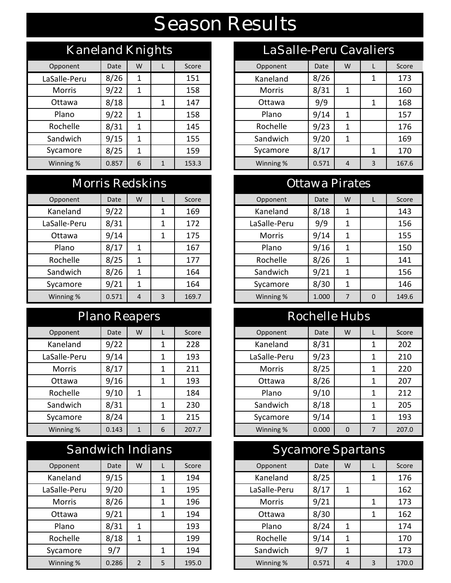# Season Results

| Kaneland Knights                 |      |   |  |       | LaSalle-Peru Cavaliers |       |   |    |  |
|----------------------------------|------|---|--|-------|------------------------|-------|---|----|--|
| Opponent                         | Date | W |  | Score | Opponent               | Date  | W | L. |  |
| LaSalle-Peru                     | 8/26 | 1 |  | 151   | Kaneland               | 8/26  |   | 1  |  |
| <b>Morris</b>                    | 9/22 | 1 |  | 158   | <b>Morris</b>          | 8/31  | 1 |    |  |
| Ottawa                           | 8/18 |   |  | 147   | Ottawa                 | 9/9   |   | 1  |  |
| Plano                            | 9/22 | 1 |  | 158   | Plano                  | 9/14  | 1 |    |  |
| Rochelle                         | 8/31 | 1 |  | 145   | Rochelle               | 9/23  | 1 |    |  |
| Sandwich                         | 9/15 | 1 |  | 155   | Sandwich               | 9/20  | 1 |    |  |
| Sycamore                         | 8/25 | 1 |  | 159   | Sycamore               | 8/17  |   | 1  |  |
| Winning %<br>6<br>0.857<br>153.3 |      |   |  |       | Winning %              | 0.571 | 4 | 3  |  |

#### Morris Redskins **Morris Redskins Morris Redskins**

| Opponent     | Date  | W | L            | Score |
|--------------|-------|---|--------------|-------|
| Kaneland     | 9/22  |   | 1            | 169   |
| LaSalle-Peru | 8/31  |   | 1            | 172   |
| Ottawa       | 9/14  |   | 1            | 175   |
| Plano        | 8/17  | 1 |              | 167   |
| Rochelle     | 8/25  | 1 |              | 177   |
| Sandwich     | 8/26  | 1 |              | 164   |
| Sycamore     | 9/21  | 1 |              | 164   |
| Winning %    | 0.571 | 4 | $\mathbf{a}$ | 169.7 |

#### Plano Reapers

| Opponent      | Date  | W |   | Score |
|---------------|-------|---|---|-------|
| Kaneland      | 9/22  |   | 1 | 228   |
| LaSalle-Peru  | 9/14  |   | 1 | 193   |
| <b>Morris</b> | 8/17  |   | 1 | 211   |
| Ottawa        | 9/16  |   | 1 | 193   |
| Rochelle      | 9/10  | 1 |   | 184   |
| Sandwich      | 8/31  |   | 1 | 230   |
| Sycamore      | 8/24  |   | 1 | 215   |
| Winning %     | 0.143 | 1 | 6 | 207.7 |

|                             | Sandwich Indians |               |   |       |  |  |  |  |  |  |  |  |  |
|-----------------------------|------------------|---------------|---|-------|--|--|--|--|--|--|--|--|--|
| Opponent                    | Date             | W             | L | Score |  |  |  |  |  |  |  |  |  |
| Kaneland                    | 9/15             |               | 1 | 194   |  |  |  |  |  |  |  |  |  |
| LaSalle-Peru                | 9/20             |               | 1 | 195   |  |  |  |  |  |  |  |  |  |
| <b>Morris</b>               | 8/26             |               | 1 | 196   |  |  |  |  |  |  |  |  |  |
| Ottawa                      | 9/21             |               | 1 | 194   |  |  |  |  |  |  |  |  |  |
| Plano                       | 8/31             | 1             |   | 193   |  |  |  |  |  |  |  |  |  |
| Rochelle                    | 8/18             | 1             |   | 199   |  |  |  |  |  |  |  |  |  |
| 9/7<br>194<br>Sycamore<br>1 |                  |               |   |       |  |  |  |  |  |  |  |  |  |
| Winning %                   | 0.286            | $\mathcal{P}$ | 5 | 195.0 |  |  |  |  |  |  |  |  |  |

| Kaneland Knights |       |   |                       |       | LaSalle-Peru Cavaliers |       |   |   |       |
|------------------|-------|---|-----------------------|-------|------------------------|-------|---|---|-------|
| Opponent         | Date  | W | L                     | Score | Opponent               | Date  | W |   | Score |
| LaSalle-Peru     | 8/26  | 1 |                       | 151   | Kaneland               | 8/26  |   |   | 173   |
| <b>Morris</b>    | 9/22  |   |                       | 158   | <b>Morris</b>          | 8/31  |   |   | 160   |
| Ottawa           | 8/18  |   | 1                     | 147   | Ottawa                 | 9/9   |   | 1 | 168   |
| Plano            | 9/22  | 1 |                       | 158   | Plano                  | 9/14  | 1 |   | 157   |
| Rochelle         | 8/31  | 1 |                       | 145   | Rochelle               | 9/23  | 1 |   | 176   |
| Sandwich         | 9/15  | 1 |                       | 155   | Sandwich               | 9/20  | 1 |   | 169   |
| Sycamore         | 8/25  | 1 |                       | 159   | Sycamore               | 8/17  |   | 1 | 170   |
| Winning %        | 0.857 | 6 | 153.3<br>$\mathbf{1}$ |       | Winning %              | 0.571 | 4 | 3 | 167.6 |

| Opponent     | Date  | W              |   | Score | Opponent      | Date  | W |          | Score |
|--------------|-------|----------------|---|-------|---------------|-------|---|----------|-------|
| Kaneland     | 9/22  |                |   | 169   | Kaneland      | 8/18  | 1 |          | 143   |
| LaSalle-Peru | 8/31  |                |   | 172   | LaSalle-Peru  | 9/9   |   |          | 156   |
| Ottawa       | 9/14  |                | 1 | 175   | <b>Morris</b> | 9/14  | 1 |          | 155   |
| Plano        | 8/17  | 1              |   | 167   | Plano         | 9/16  | 1 |          | 150   |
| Rochelle     | 8/25  | 1              |   | 177   | Rochelle      | 8/26  | 1 |          | 141   |
| Sandwich     | 8/26  | 1              |   | 164   | Sandwich      | 9/21  | 1 |          | 156   |
| Sycamore     | 9/21  | 1              |   | 164   | Sycamore      | 8/30  | 1 |          | 146   |
| Winning %    | 0.571 | $\overline{4}$ | 3 | 169.7 | Winning %     | 1.000 | 7 | $\Omega$ | 149.6 |

### Rochelle Hubs

| Opponent      | Date  | W |   | Score | Opponent      | Date  | W        |   | Score |
|---------------|-------|---|---|-------|---------------|-------|----------|---|-------|
| Kaneland      | 9/22  |   | 1 | 228   | Kaneland      | 8/31  |          | 1 | 202   |
| LaSalle-Peru  | 9/14  |   | 1 | 193   | LaSalle-Peru  | 9/23  |          | 1 | 210   |
| <b>Morris</b> | 8/17  |   | 1 | 211   | <b>Morris</b> | 8/25  |          | 1 | 220   |
| Ottawa        | 9/16  |   | 1 | 193   | Ottawa        | 8/26  |          | 1 | 207   |
| Rochelle      | 9/10  | 1 |   | 184   | Plano         | 9/10  |          | 1 | 212   |
| Sandwich      | 8/31  |   | 1 | 230   | Sandwich      | 8/18  |          | 1 | 205   |
| Sycamore      | 8/24  |   | 1 | 215   | Sycamore      | 9/14  |          | 1 | 193   |
| Winning %     | 0.143 | 1 | 6 | 207.7 | Winning %     | 0.000 | $\Omega$ |   | 207.0 |

| Sandwich Indians                                   |                    |   |   |     |           | <b>Sycamore Spartans</b> |                |   |       |       |
|----------------------------------------------------|--------------------|---|---|-----|-----------|--------------------------|----------------|---|-------|-------|
| Opponent                                           | W<br>Date<br>Score |   |   |     |           | Opponent                 | Date           | W |       | Score |
| Kaneland                                           | 9/15               |   | 1 | 194 |           | Kaneland                 | 8/25           |   |       | 176   |
| LaSalle-Peru                                       | 9/20               |   | 1 | 195 |           | LaSalle-Peru             | 8/17           | 1 |       | 162   |
| <b>Morris</b>                                      | 8/26               |   | 1 | 196 |           | Morris                   | 9/21           |   |       | 173   |
| Ottawa                                             | 9/21               |   | 1 | 194 |           | Ottawa                   | 8/30           |   |       | 162   |
| Plano                                              | 8/31               | 1 |   | 193 |           | Plano                    | 8/24           | 1 |       | 174   |
| Rochelle                                           | 8/18               | 1 |   | 199 |           | Rochelle                 | 9/14           | 1 |       | 170   |
| Sycamore                                           | 9/7                |   | 1 | 194 |           | Sandwich                 | 9/7            | 1 |       | 173   |
| 5<br>0.286<br>$\overline{2}$<br>Winning %<br>195.0 |                    |   |   |     | Winning % | 0.571                    | $\overline{4}$ | 3 | 170.0 |       |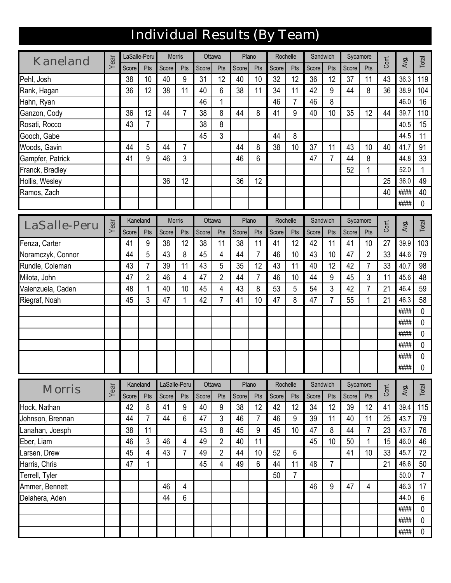# Individual Results (By Team)

| Score<br>Score<br>Score<br>Score<br>Score<br>Pts<br>Pts<br>Score<br>Pts<br>Score<br>Pts<br>Pts<br>Pts<br>Pts<br>9<br>31<br>12<br>32<br>12<br>36<br>37<br>43<br>38<br>10<br>40<br>40<br>10<br>12<br>11<br>36.3<br>Pehl, Josh<br>38<br>6<br>9<br>36<br>36<br>12<br>11<br>40<br>38<br>11<br>34<br>11<br>42<br>8<br>44<br>38.9<br>Rank, Hagan<br>46<br>46<br>$\overline{7}$<br>46<br>8<br>Hahn, Ryan<br>1<br>46.0<br>36<br>$\overline{7}$<br>8<br>9<br>35<br>12<br>44<br>38<br>44<br>8<br>41<br>40<br>10<br>12<br>44<br>39.7<br>Ganzon, Cody<br>$\overline{7}$<br>8<br>43<br>38<br>Rosati, Rocco<br>40.5<br>3<br>8<br>45<br>44<br>44.5<br>Gooch, Gabe<br>$\overline{7}$<br>10<br>38<br>37<br>Woods, Gavin<br>44<br>5<br>44<br>44<br>8<br>11<br>43<br>10<br>40<br>41.7<br>9<br>46<br>3<br>46<br>6<br>44.8<br>Gampfer, Patrick<br>41<br>47<br>7<br>44<br>8<br>52<br>52.0<br>1<br>Franck, Bradley<br>36<br>12<br>36<br>12<br>25<br>36.0<br>Hollis, Wesley<br>####<br>40<br>Ramos, Zach<br>####<br>Sandwich<br>Kaneland<br><b>Morris</b><br>Ottawa<br>Plano<br>Rochelle<br>Sycamore<br>Year<br>Conf.<br>LaSalle-Peru<br>Avg.<br>Score<br>Score<br>Score<br>Score<br>Score<br>Pts<br>Score<br>Pts<br>Pts<br>Pts<br>Score<br>Pts<br>Pts<br>Pts<br>38<br>42<br>39.9<br>41<br>9<br>38<br>12<br>11<br>38<br>11<br>41<br>12<br>11<br>41<br>10<br>27<br>Fenza, Carter<br>44<br>5<br>43<br>8<br>45<br>7<br>46<br>10<br>43<br>10<br>$\overline{2}$<br>33<br>4<br>44<br>47<br>44.6<br>Noramczyk, Connor<br>$\overline{7}$<br>43<br>5<br>35<br>12<br>Rundle, Coleman<br>43<br>39<br>11<br>43<br>11<br>40<br>12<br>42<br>$\overline{7}$<br>33<br>40.7<br>$\overline{2}$<br>$\overline{2}$<br>3<br>46<br>4<br>47<br>7<br>46<br>44<br>9<br>45<br>47<br>44<br>10<br>11<br>45.6<br>Milota, John<br>3<br>5<br>48<br>40<br>10<br>45<br>$\overline{4}$<br>43<br>8<br>53<br>54<br>42<br>$\overline{7}$<br>21<br>Valenzuela, Caden<br>1<br>46.4<br>3<br>1<br>42<br>$\overline{7}$<br>10<br>8<br>7<br>21<br>Riegraf, Noah<br>45<br>47<br>41<br>47<br>47<br>55<br>1<br>46.3<br>####<br>####<br>####<br>####<br>####<br>####<br>Kaneland<br>LaSalle-Peru<br>Ottawa<br>Plano<br>Rochelle<br>Sandwich<br>Sycamore<br>Year<br>Conf.<br>Avg.<br>Morris<br>Score<br>Pts<br>Score<br>Score<br>Score<br>Score<br>Pts<br>Score<br>Pts<br>Score<br>Pts<br>Pts<br>Pts<br>Pts<br>40<br>9<br>38<br>12<br>42<br>12<br>34<br>12<br>39<br>39.4<br>42<br>8<br>41<br>9<br>12<br>41<br>Hock, Nathan<br>3<br>6<br>46<br>$\boldsymbol{9}$<br>39<br>25<br>44<br>44<br>47<br>46<br>11<br>40<br>43.7<br>7<br>$\overline{7}$<br>11<br>Johnson, Brennan<br>38<br>8<br>45<br>45<br>10<br>8<br>23<br>11<br>43<br>9<br>44<br>$\overline{7}$<br>43.7<br>Lanahan, Joesph<br>47<br>$\overline{2}$<br>3<br>46<br>Eber, Liam<br>46<br>4<br>49<br>40<br>11<br>45<br>10<br>50<br>1<br>15<br>46.0<br>$\overline{2}$<br>$\overline{7}$<br>52<br>$6\,$<br>43<br>44<br>41<br>10<br>45.7<br>45<br>4<br>49<br>10<br>33<br>arsen, Drew<br>47<br>49<br>$6\phantom{1}$<br>44<br>11<br>$\overline{7}$<br>21<br>46.6<br>Harris, Chris<br>45<br>$\overline{4}$<br>48<br>1<br>$\overline{7}$<br>50<br>50.0<br>Terrell, Tyler | Kaneland       | Year | LaSalle-Peru |    | <b>Morris</b> | Ottawa | Plano | Rochelle |    | Sandwich |    | Sycamore | Conf. |      |                |
|----------------------------------------------------------------------------------------------------------------------------------------------------------------------------------------------------------------------------------------------------------------------------------------------------------------------------------------------------------------------------------------------------------------------------------------------------------------------------------------------------------------------------------------------------------------------------------------------------------------------------------------------------------------------------------------------------------------------------------------------------------------------------------------------------------------------------------------------------------------------------------------------------------------------------------------------------------------------------------------------------------------------------------------------------------------------------------------------------------------------------------------------------------------------------------------------------------------------------------------------------------------------------------------------------------------------------------------------------------------------------------------------------------------------------------------------------------------------------------------------------------------------------------------------------------------------------------------------------------------------------------------------------------------------------------------------------------------------------------------------------------------------------------------------------------------------------------------------------------------------------------------------------------------------------------------------------------------------------------------------------------------------------------------------------------------------------------------------------------------------------------------------------------------------------------------------------------------------------------------------------------------------------------------------------------------------------------------------------------------------------------------------------------------------------------------------------------------------------------------------------------------------------------------------------------------------------------------------------------------------------------------------------------------------------------------------------------------------------------------------------------------------------------------------------------------------------------------------------------------------------------------------------------------------------------------------------------------------------------------------------------------------------------------------------------------------------------------------------------------------------------------------|----------------|------|--------------|----|---------------|--------|-------|----------|----|----------|----|----------|-------|------|----------------|
|                                                                                                                                                                                                                                                                                                                                                                                                                                                                                                                                                                                                                                                                                                                                                                                                                                                                                                                                                                                                                                                                                                                                                                                                                                                                                                                                                                                                                                                                                                                                                                                                                                                                                                                                                                                                                                                                                                                                                                                                                                                                                                                                                                                                                                                                                                                                                                                                                                                                                                                                                                                                                                                                                                                                                                                                                                                                                                                                                                                                                                                                                                                                              |                |      |              |    |               |        |       |          |    |          |    |          |       | Avg. | Total          |
|                                                                                                                                                                                                                                                                                                                                                                                                                                                                                                                                                                                                                                                                                                                                                                                                                                                                                                                                                                                                                                                                                                                                                                                                                                                                                                                                                                                                                                                                                                                                                                                                                                                                                                                                                                                                                                                                                                                                                                                                                                                                                                                                                                                                                                                                                                                                                                                                                                                                                                                                                                                                                                                                                                                                                                                                                                                                                                                                                                                                                                                                                                                                              |                |      |              |    |               |        |       |          |    |          |    |          |       |      | 119            |
|                                                                                                                                                                                                                                                                                                                                                                                                                                                                                                                                                                                                                                                                                                                                                                                                                                                                                                                                                                                                                                                                                                                                                                                                                                                                                                                                                                                                                                                                                                                                                                                                                                                                                                                                                                                                                                                                                                                                                                                                                                                                                                                                                                                                                                                                                                                                                                                                                                                                                                                                                                                                                                                                                                                                                                                                                                                                                                                                                                                                                                                                                                                                              |                |      |              |    |               |        |       |          |    |          |    |          |       |      | 104            |
|                                                                                                                                                                                                                                                                                                                                                                                                                                                                                                                                                                                                                                                                                                                                                                                                                                                                                                                                                                                                                                                                                                                                                                                                                                                                                                                                                                                                                                                                                                                                                                                                                                                                                                                                                                                                                                                                                                                                                                                                                                                                                                                                                                                                                                                                                                                                                                                                                                                                                                                                                                                                                                                                                                                                                                                                                                                                                                                                                                                                                                                                                                                                              |                |      |              |    |               |        |       |          |    |          |    |          |       |      | 16             |
|                                                                                                                                                                                                                                                                                                                                                                                                                                                                                                                                                                                                                                                                                                                                                                                                                                                                                                                                                                                                                                                                                                                                                                                                                                                                                                                                                                                                                                                                                                                                                                                                                                                                                                                                                                                                                                                                                                                                                                                                                                                                                                                                                                                                                                                                                                                                                                                                                                                                                                                                                                                                                                                                                                                                                                                                                                                                                                                                                                                                                                                                                                                                              |                |      |              |    |               |        |       |          |    |          |    |          |       |      | 110            |
|                                                                                                                                                                                                                                                                                                                                                                                                                                                                                                                                                                                                                                                                                                                                                                                                                                                                                                                                                                                                                                                                                                                                                                                                                                                                                                                                                                                                                                                                                                                                                                                                                                                                                                                                                                                                                                                                                                                                                                                                                                                                                                                                                                                                                                                                                                                                                                                                                                                                                                                                                                                                                                                                                                                                                                                                                                                                                                                                                                                                                                                                                                                                              |                |      |              |    |               |        |       |          |    |          |    |          |       |      | 15             |
|                                                                                                                                                                                                                                                                                                                                                                                                                                                                                                                                                                                                                                                                                                                                                                                                                                                                                                                                                                                                                                                                                                                                                                                                                                                                                                                                                                                                                                                                                                                                                                                                                                                                                                                                                                                                                                                                                                                                                                                                                                                                                                                                                                                                                                                                                                                                                                                                                                                                                                                                                                                                                                                                                                                                                                                                                                                                                                                                                                                                                                                                                                                                              |                |      |              |    |               |        |       |          |    |          |    |          |       |      | 11             |
|                                                                                                                                                                                                                                                                                                                                                                                                                                                                                                                                                                                                                                                                                                                                                                                                                                                                                                                                                                                                                                                                                                                                                                                                                                                                                                                                                                                                                                                                                                                                                                                                                                                                                                                                                                                                                                                                                                                                                                                                                                                                                                                                                                                                                                                                                                                                                                                                                                                                                                                                                                                                                                                                                                                                                                                                                                                                                                                                                                                                                                                                                                                                              |                |      |              |    |               |        |       |          |    |          |    |          |       |      | 91             |
|                                                                                                                                                                                                                                                                                                                                                                                                                                                                                                                                                                                                                                                                                                                                                                                                                                                                                                                                                                                                                                                                                                                                                                                                                                                                                                                                                                                                                                                                                                                                                                                                                                                                                                                                                                                                                                                                                                                                                                                                                                                                                                                                                                                                                                                                                                                                                                                                                                                                                                                                                                                                                                                                                                                                                                                                                                                                                                                                                                                                                                                                                                                                              |                |      |              |    |               |        |       |          |    |          |    |          |       |      | 33             |
|                                                                                                                                                                                                                                                                                                                                                                                                                                                                                                                                                                                                                                                                                                                                                                                                                                                                                                                                                                                                                                                                                                                                                                                                                                                                                                                                                                                                                                                                                                                                                                                                                                                                                                                                                                                                                                                                                                                                                                                                                                                                                                                                                                                                                                                                                                                                                                                                                                                                                                                                                                                                                                                                                                                                                                                                                                                                                                                                                                                                                                                                                                                                              |                |      |              |    |               |        |       |          |    |          |    |          |       |      | 1              |
|                                                                                                                                                                                                                                                                                                                                                                                                                                                                                                                                                                                                                                                                                                                                                                                                                                                                                                                                                                                                                                                                                                                                                                                                                                                                                                                                                                                                                                                                                                                                                                                                                                                                                                                                                                                                                                                                                                                                                                                                                                                                                                                                                                                                                                                                                                                                                                                                                                                                                                                                                                                                                                                                                                                                                                                                                                                                                                                                                                                                                                                                                                                                              |                |      |              |    |               |        |       |          |    |          |    |          |       |      | 49             |
|                                                                                                                                                                                                                                                                                                                                                                                                                                                                                                                                                                                                                                                                                                                                                                                                                                                                                                                                                                                                                                                                                                                                                                                                                                                                                                                                                                                                                                                                                                                                                                                                                                                                                                                                                                                                                                                                                                                                                                                                                                                                                                                                                                                                                                                                                                                                                                                                                                                                                                                                                                                                                                                                                                                                                                                                                                                                                                                                                                                                                                                                                                                                              |                |      |              |    |               |        |       |          |    |          |    |          |       |      | 40             |
|                                                                                                                                                                                                                                                                                                                                                                                                                                                                                                                                                                                                                                                                                                                                                                                                                                                                                                                                                                                                                                                                                                                                                                                                                                                                                                                                                                                                                                                                                                                                                                                                                                                                                                                                                                                                                                                                                                                                                                                                                                                                                                                                                                                                                                                                                                                                                                                                                                                                                                                                                                                                                                                                                                                                                                                                                                                                                                                                                                                                                                                                                                                                              |                |      |              |    |               |        |       |          |    |          |    |          |       |      | 0              |
|                                                                                                                                                                                                                                                                                                                                                                                                                                                                                                                                                                                                                                                                                                                                                                                                                                                                                                                                                                                                                                                                                                                                                                                                                                                                                                                                                                                                                                                                                                                                                                                                                                                                                                                                                                                                                                                                                                                                                                                                                                                                                                                                                                                                                                                                                                                                                                                                                                                                                                                                                                                                                                                                                                                                                                                                                                                                                                                                                                                                                                                                                                                                              |                |      |              |    |               |        |       |          |    |          |    |          |       |      |                |
|                                                                                                                                                                                                                                                                                                                                                                                                                                                                                                                                                                                                                                                                                                                                                                                                                                                                                                                                                                                                                                                                                                                                                                                                                                                                                                                                                                                                                                                                                                                                                                                                                                                                                                                                                                                                                                                                                                                                                                                                                                                                                                                                                                                                                                                                                                                                                                                                                                                                                                                                                                                                                                                                                                                                                                                                                                                                                                                                                                                                                                                                                                                                              |                |      |              |    |               |        |       |          |    |          |    |          |       |      | Total          |
|                                                                                                                                                                                                                                                                                                                                                                                                                                                                                                                                                                                                                                                                                                                                                                                                                                                                                                                                                                                                                                                                                                                                                                                                                                                                                                                                                                                                                                                                                                                                                                                                                                                                                                                                                                                                                                                                                                                                                                                                                                                                                                                                                                                                                                                                                                                                                                                                                                                                                                                                                                                                                                                                                                                                                                                                                                                                                                                                                                                                                                                                                                                                              |                |      |              |    |               |        |       |          |    |          |    |          |       |      | 103            |
|                                                                                                                                                                                                                                                                                                                                                                                                                                                                                                                                                                                                                                                                                                                                                                                                                                                                                                                                                                                                                                                                                                                                                                                                                                                                                                                                                                                                                                                                                                                                                                                                                                                                                                                                                                                                                                                                                                                                                                                                                                                                                                                                                                                                                                                                                                                                                                                                                                                                                                                                                                                                                                                                                                                                                                                                                                                                                                                                                                                                                                                                                                                                              |                |      |              |    |               |        |       |          |    |          |    |          |       |      | 79             |
|                                                                                                                                                                                                                                                                                                                                                                                                                                                                                                                                                                                                                                                                                                                                                                                                                                                                                                                                                                                                                                                                                                                                                                                                                                                                                                                                                                                                                                                                                                                                                                                                                                                                                                                                                                                                                                                                                                                                                                                                                                                                                                                                                                                                                                                                                                                                                                                                                                                                                                                                                                                                                                                                                                                                                                                                                                                                                                                                                                                                                                                                                                                                              |                |      |              |    |               |        |       |          |    |          |    |          |       |      | 98             |
|                                                                                                                                                                                                                                                                                                                                                                                                                                                                                                                                                                                                                                                                                                                                                                                                                                                                                                                                                                                                                                                                                                                                                                                                                                                                                                                                                                                                                                                                                                                                                                                                                                                                                                                                                                                                                                                                                                                                                                                                                                                                                                                                                                                                                                                                                                                                                                                                                                                                                                                                                                                                                                                                                                                                                                                                                                                                                                                                                                                                                                                                                                                                              |                |      |              |    |               |        |       |          |    |          |    |          |       |      | 48             |
|                                                                                                                                                                                                                                                                                                                                                                                                                                                                                                                                                                                                                                                                                                                                                                                                                                                                                                                                                                                                                                                                                                                                                                                                                                                                                                                                                                                                                                                                                                                                                                                                                                                                                                                                                                                                                                                                                                                                                                                                                                                                                                                                                                                                                                                                                                                                                                                                                                                                                                                                                                                                                                                                                                                                                                                                                                                                                                                                                                                                                                                                                                                                              |                |      |              |    |               |        |       |          |    |          |    |          |       |      | 59             |
|                                                                                                                                                                                                                                                                                                                                                                                                                                                                                                                                                                                                                                                                                                                                                                                                                                                                                                                                                                                                                                                                                                                                                                                                                                                                                                                                                                                                                                                                                                                                                                                                                                                                                                                                                                                                                                                                                                                                                                                                                                                                                                                                                                                                                                                                                                                                                                                                                                                                                                                                                                                                                                                                                                                                                                                                                                                                                                                                                                                                                                                                                                                                              |                |      |              |    |               |        |       |          |    |          |    |          |       |      | 58             |
|                                                                                                                                                                                                                                                                                                                                                                                                                                                                                                                                                                                                                                                                                                                                                                                                                                                                                                                                                                                                                                                                                                                                                                                                                                                                                                                                                                                                                                                                                                                                                                                                                                                                                                                                                                                                                                                                                                                                                                                                                                                                                                                                                                                                                                                                                                                                                                                                                                                                                                                                                                                                                                                                                                                                                                                                                                                                                                                                                                                                                                                                                                                                              |                |      |              |    |               |        |       |          |    |          |    |          |       |      | 0              |
|                                                                                                                                                                                                                                                                                                                                                                                                                                                                                                                                                                                                                                                                                                                                                                                                                                                                                                                                                                                                                                                                                                                                                                                                                                                                                                                                                                                                                                                                                                                                                                                                                                                                                                                                                                                                                                                                                                                                                                                                                                                                                                                                                                                                                                                                                                                                                                                                                                                                                                                                                                                                                                                                                                                                                                                                                                                                                                                                                                                                                                                                                                                                              |                |      |              |    |               |        |       |          |    |          |    |          |       |      | 0              |
|                                                                                                                                                                                                                                                                                                                                                                                                                                                                                                                                                                                                                                                                                                                                                                                                                                                                                                                                                                                                                                                                                                                                                                                                                                                                                                                                                                                                                                                                                                                                                                                                                                                                                                                                                                                                                                                                                                                                                                                                                                                                                                                                                                                                                                                                                                                                                                                                                                                                                                                                                                                                                                                                                                                                                                                                                                                                                                                                                                                                                                                                                                                                              |                |      |              |    |               |        |       |          |    |          |    |          |       |      | 0              |
|                                                                                                                                                                                                                                                                                                                                                                                                                                                                                                                                                                                                                                                                                                                                                                                                                                                                                                                                                                                                                                                                                                                                                                                                                                                                                                                                                                                                                                                                                                                                                                                                                                                                                                                                                                                                                                                                                                                                                                                                                                                                                                                                                                                                                                                                                                                                                                                                                                                                                                                                                                                                                                                                                                                                                                                                                                                                                                                                                                                                                                                                                                                                              |                |      |              |    |               |        |       |          |    |          |    |          |       |      | 0              |
|                                                                                                                                                                                                                                                                                                                                                                                                                                                                                                                                                                                                                                                                                                                                                                                                                                                                                                                                                                                                                                                                                                                                                                                                                                                                                                                                                                                                                                                                                                                                                                                                                                                                                                                                                                                                                                                                                                                                                                                                                                                                                                                                                                                                                                                                                                                                                                                                                                                                                                                                                                                                                                                                                                                                                                                                                                                                                                                                                                                                                                                                                                                                              |                |      |              |    |               |        |       |          |    |          |    |          |       |      | 0              |
|                                                                                                                                                                                                                                                                                                                                                                                                                                                                                                                                                                                                                                                                                                                                                                                                                                                                                                                                                                                                                                                                                                                                                                                                                                                                                                                                                                                                                                                                                                                                                                                                                                                                                                                                                                                                                                                                                                                                                                                                                                                                                                                                                                                                                                                                                                                                                                                                                                                                                                                                                                                                                                                                                                                                                                                                                                                                                                                                                                                                                                                                                                                                              |                |      |              |    |               |        |       |          |    |          |    |          |       |      | 0              |
|                                                                                                                                                                                                                                                                                                                                                                                                                                                                                                                                                                                                                                                                                                                                                                                                                                                                                                                                                                                                                                                                                                                                                                                                                                                                                                                                                                                                                                                                                                                                                                                                                                                                                                                                                                                                                                                                                                                                                                                                                                                                                                                                                                                                                                                                                                                                                                                                                                                                                                                                                                                                                                                                                                                                                                                                                                                                                                                                                                                                                                                                                                                                              |                |      |              |    |               |        |       |          |    |          |    |          |       |      |                |
|                                                                                                                                                                                                                                                                                                                                                                                                                                                                                                                                                                                                                                                                                                                                                                                                                                                                                                                                                                                                                                                                                                                                                                                                                                                                                                                                                                                                                                                                                                                                                                                                                                                                                                                                                                                                                                                                                                                                                                                                                                                                                                                                                                                                                                                                                                                                                                                                                                                                                                                                                                                                                                                                                                                                                                                                                                                                                                                                                                                                                                                                                                                                              |                |      |              |    |               |        |       |          |    |          |    |          |       |      | Total          |
|                                                                                                                                                                                                                                                                                                                                                                                                                                                                                                                                                                                                                                                                                                                                                                                                                                                                                                                                                                                                                                                                                                                                                                                                                                                                                                                                                                                                                                                                                                                                                                                                                                                                                                                                                                                                                                                                                                                                                                                                                                                                                                                                                                                                                                                                                                                                                                                                                                                                                                                                                                                                                                                                                                                                                                                                                                                                                                                                                                                                                                                                                                                                              |                |      |              |    |               |        |       |          |    |          |    |          |       |      | 115            |
|                                                                                                                                                                                                                                                                                                                                                                                                                                                                                                                                                                                                                                                                                                                                                                                                                                                                                                                                                                                                                                                                                                                                                                                                                                                                                                                                                                                                                                                                                                                                                                                                                                                                                                                                                                                                                                                                                                                                                                                                                                                                                                                                                                                                                                                                                                                                                                                                                                                                                                                                                                                                                                                                                                                                                                                                                                                                                                                                                                                                                                                                                                                                              |                |      |              |    |               |        |       |          |    |          |    |          |       |      | 79             |
|                                                                                                                                                                                                                                                                                                                                                                                                                                                                                                                                                                                                                                                                                                                                                                                                                                                                                                                                                                                                                                                                                                                                                                                                                                                                                                                                                                                                                                                                                                                                                                                                                                                                                                                                                                                                                                                                                                                                                                                                                                                                                                                                                                                                                                                                                                                                                                                                                                                                                                                                                                                                                                                                                                                                                                                                                                                                                                                                                                                                                                                                                                                                              |                |      |              |    |               |        |       |          |    |          |    |          |       |      | 76             |
|                                                                                                                                                                                                                                                                                                                                                                                                                                                                                                                                                                                                                                                                                                                                                                                                                                                                                                                                                                                                                                                                                                                                                                                                                                                                                                                                                                                                                                                                                                                                                                                                                                                                                                                                                                                                                                                                                                                                                                                                                                                                                                                                                                                                                                                                                                                                                                                                                                                                                                                                                                                                                                                                                                                                                                                                                                                                                                                                                                                                                                                                                                                                              |                |      |              |    |               |        |       |          |    |          |    |          |       |      | 46             |
|                                                                                                                                                                                                                                                                                                                                                                                                                                                                                                                                                                                                                                                                                                                                                                                                                                                                                                                                                                                                                                                                                                                                                                                                                                                                                                                                                                                                                                                                                                                                                                                                                                                                                                                                                                                                                                                                                                                                                                                                                                                                                                                                                                                                                                                                                                                                                                                                                                                                                                                                                                                                                                                                                                                                                                                                                                                                                                                                                                                                                                                                                                                                              |                |      |              |    |               |        |       |          |    |          |    |          |       |      | 72             |
|                                                                                                                                                                                                                                                                                                                                                                                                                                                                                                                                                                                                                                                                                                                                                                                                                                                                                                                                                                                                                                                                                                                                                                                                                                                                                                                                                                                                                                                                                                                                                                                                                                                                                                                                                                                                                                                                                                                                                                                                                                                                                                                                                                                                                                                                                                                                                                                                                                                                                                                                                                                                                                                                                                                                                                                                                                                                                                                                                                                                                                                                                                                                              |                |      |              |    |               |        |       |          |    |          |    |          |       |      | 50             |
|                                                                                                                                                                                                                                                                                                                                                                                                                                                                                                                                                                                                                                                                                                                                                                                                                                                                                                                                                                                                                                                                                                                                                                                                                                                                                                                                                                                                                                                                                                                                                                                                                                                                                                                                                                                                                                                                                                                                                                                                                                                                                                                                                                                                                                                                                                                                                                                                                                                                                                                                                                                                                                                                                                                                                                                                                                                                                                                                                                                                                                                                                                                                              |                |      |              |    |               |        |       |          |    |          |    |          |       |      | $\overline{7}$ |
|                                                                                                                                                                                                                                                                                                                                                                                                                                                                                                                                                                                                                                                                                                                                                                                                                                                                                                                                                                                                                                                                                                                                                                                                                                                                                                                                                                                                                                                                                                                                                                                                                                                                                                                                                                                                                                                                                                                                                                                                                                                                                                                                                                                                                                                                                                                                                                                                                                                                                                                                                                                                                                                                                                                                                                                                                                                                                                                                                                                                                                                                                                                                              | Ammer, Bennett |      |              | 46 | 4             |        |       |          | 46 | 9        | 47 | 4        |       | 46.3 | 17             |
| 6<br>Delahera, Aden<br>44.0<br>44                                                                                                                                                                                                                                                                                                                                                                                                                                                                                                                                                                                                                                                                                                                                                                                                                                                                                                                                                                                                                                                                                                                                                                                                                                                                                                                                                                                                                                                                                                                                                                                                                                                                                                                                                                                                                                                                                                                                                                                                                                                                                                                                                                                                                                                                                                                                                                                                                                                                                                                                                                                                                                                                                                                                                                                                                                                                                                                                                                                                                                                                                                            |                |      |              |    |               |        |       |          |    |          |    |          |       |      | 6              |
| ####                                                                                                                                                                                                                                                                                                                                                                                                                                                                                                                                                                                                                                                                                                                                                                                                                                                                                                                                                                                                                                                                                                                                                                                                                                                                                                                                                                                                                                                                                                                                                                                                                                                                                                                                                                                                                                                                                                                                                                                                                                                                                                                                                                                                                                                                                                                                                                                                                                                                                                                                                                                                                                                                                                                                                                                                                                                                                                                                                                                                                                                                                                                                         |                |      |              |    |               |        |       |          |    |          |    |          |       |      | 0              |
| ####                                                                                                                                                                                                                                                                                                                                                                                                                                                                                                                                                                                                                                                                                                                                                                                                                                                                                                                                                                                                                                                                                                                                                                                                                                                                                                                                                                                                                                                                                                                                                                                                                                                                                                                                                                                                                                                                                                                                                                                                                                                                                                                                                                                                                                                                                                                                                                                                                                                                                                                                                                                                                                                                                                                                                                                                                                                                                                                                                                                                                                                                                                                                         |                |      |              |    |               |        |       |          |    |          |    |          |       |      | 0              |
| ####                                                                                                                                                                                                                                                                                                                                                                                                                                                                                                                                                                                                                                                                                                                                                                                                                                                                                                                                                                                                                                                                                                                                                                                                                                                                                                                                                                                                                                                                                                                                                                                                                                                                                                                                                                                                                                                                                                                                                                                                                                                                                                                                                                                                                                                                                                                                                                                                                                                                                                                                                                                                                                                                                                                                                                                                                                                                                                                                                                                                                                                                                                                                         |                |      |              |    |               |        |       |          |    |          |    |          |       |      | 0              |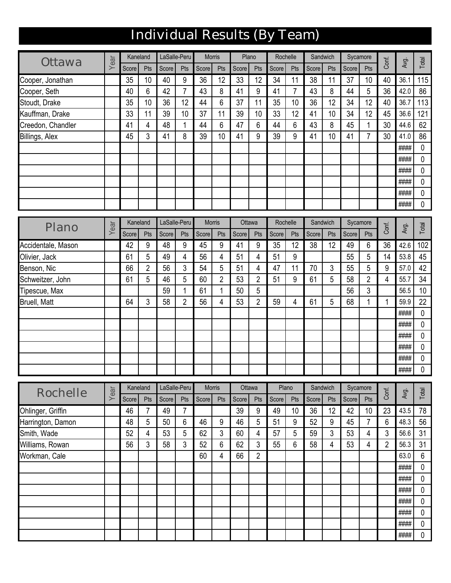# Individual Results (By Team)

| Ottawa            | ear | Kaneland |            | LaSalle-Peru |     | <b>Morris</b> |     | Plano |            | Rochelle |     | Sandwich |     | Sycamore |     | Conf. | Avg. | Total |
|-------------------|-----|----------|------------|--------------|-----|---------------|-----|-------|------------|----------|-----|----------|-----|----------|-----|-------|------|-------|
|                   | ≻   | Score    | <b>Pts</b> | Score        | Pts | Score         | Pts | Score | <b>Pts</b> | Score    | Pts | Score    | Pts | Score    | Pts |       |      |       |
| Cooper, Jonathan  |     | 35       | 10         | 40           | 9   | 36            | 12  | 33    | 12         | 34       | 11  | 38       | 1   | 37       | 10  | 40    | 36.1 | 115   |
| Cooper, Seth      |     | 40       | 6          | 42           | 7   | 43            | 8   | 41    | 9          | 41       | 7   | 43       | 8   | 44       | 5   | 36    | 42.0 | 86    |
| Stoudt, Drake     |     | 35       | 10         | 36           | 12  | 44            | 6   | 37    | 11         | 35       | 10  | 36       | 12  | 34       | 12  | 40    | 36.7 | 113   |
| Kauffman, Drake   |     | 33       | 11         | 39           | 10  | 37            | 11  | 39    | 10         | 33       | 12  | 41       | 10  | 34       | 12  | 45    | 36.6 | 121   |
| Creedon, Chandler |     | 41       | 4          | 48           |     | 44            | 6   | 47    | 6          | 44       | 6   | 43       | 8   | 45       |     | 30    | 44.6 | 62    |
| Billings, Alex    |     | 45       | 3          | 41           | 8   | 39            | 10  | 41    | 9          | 39       | 9   | 41       | 10  | 41       |     | 30    | 41.0 | 86    |
|                   |     |          |            |              |     |               |     |       |            |          |     |          |     |          |     |       | #### | 0     |
|                   |     |          |            |              |     |               |     |       |            |          |     |          |     |          |     |       | #### | 0     |
|                   |     |          |            |              |     |               |     |       |            |          |     |          |     |          |     |       | #### | 0     |
|                   |     |          |            |              |     |               |     |       |            |          |     |          |     |          |     |       | #### | 0     |
|                   |     |          |            |              |     |               |     |       |            |          |     |          |     |          |     |       | #### | 0     |
|                   |     |          |            |              |     |               |     |       |            |          |     |          |     |          |     |       | #### | 0     |

| Plano                            |      |             | Kaneland              |              | LaSalle-Peru          | Morris        |                | Ottawa      |                |             | Rochelle       |             | Sandwich  |             | Sycamore       | Conf.          | Avg. | Total    |
|----------------------------------|------|-------------|-----------------------|--------------|-----------------------|---------------|----------------|-------------|----------------|-------------|----------------|-------------|-----------|-------------|----------------|----------------|------|----------|
|                                  | Year | Score       | Pts                   | Score        | Pts                   | Score         | Pts            | Score       | Pts            | Score       | Pts            | Score       | Pts       | Score       | Pts            |                |      |          |
| Accidentale, Mason               |      | 42          | 9                     | 48           | 9                     | 45            | 9              | 41          | 9              | 35          | 12             | 38          | 12        | 49          | 6              | 36             | 42.6 | 102      |
| Olivier, Jack                    |      | 61          | 5                     | 49           | 4                     | 56            | 4              | 51          | 4              | 51          | 9              |             |           | 55          | 5              | 14             | 53.8 | 45       |
| Benson, Nic                      |      | 66          | $\overline{2}$        | 56           | 3                     | 54            | 5              | 51          | 4              | 47          | 11             | 70          | 3         | 55          | 5              | 9              | 57.0 | 42       |
| Schweitzer, John                 |      | 61          | 5                     | 46           | 5                     | 60            | $\overline{2}$ | 53          | $\overline{2}$ | 51          | 9              | 61          | 5         | 58          | $\overline{2}$ | 4              | 55.7 | 34       |
| Tipescue, Max                    |      |             |                       | 59           | $\mathbf{1}$          | 61            | 1              | 50          | 5              |             |                |             |           | 56          | 3              |                | 56.5 | 10       |
| <b>Bruell, Matt</b>              |      | 64          | 3                     | 58           | $\overline{2}$        | 56            | 4              | 53          | $\overline{2}$ | 59          | $\overline{4}$ | 61          | 5         | 68          | 1              | 1              | 59.9 | 22       |
|                                  |      |             |                       |              |                       |               |                |             |                |             |                |             |           |             |                |                | #### | 0        |
|                                  |      |             |                       |              |                       |               |                |             |                |             |                |             |           |             |                |                | #### | 0        |
|                                  |      |             |                       |              |                       |               |                |             |                |             |                |             |           |             |                |                | #### | 0        |
|                                  |      |             |                       |              |                       |               |                |             |                |             |                |             |           |             |                |                | #### | 0        |
|                                  |      |             |                       |              |                       |               |                |             |                |             |                |             |           |             |                |                | #### | 0        |
|                                  |      |             |                       |              |                       |               |                |             |                |             |                |             |           |             |                |                | #### | 0        |
|                                  |      |             |                       |              |                       |               |                |             |                |             |                |             |           |             |                |                |      |          |
|                                  |      |             |                       |              |                       |               |                |             |                |             |                |             |           |             |                |                |      |          |
| Rochelle                         | Year |             | Kaneland              | LaSalle-Peru |                       | <b>Morris</b> |                | Ottawa      |                |             | Plano          |             | Sandwich  |             | Sycamore       | Conf.          | Avg. | Total    |
|                                  |      | Score<br>46 | Pts<br>$\overline{7}$ | Score<br>49  | Pts<br>$\overline{7}$ | Score         | Pts            | Score<br>39 | Pts<br>9       | Score<br>49 | Pts<br>10      | Score<br>36 | Pts<br>12 | Score<br>42 | Pts<br>10      | 23             | 43.5 |          |
| Ohlinger, Griffin                |      | 48          | 5                     | 50           | 6                     | 46            | 9              | 46          | 5              | 51          | 9              | 52          | 9         | 45          | $\overline{7}$ | 6              | 48.3 | 78<br>56 |
| Harrington, Damon<br>Smith, Wade |      | 52          | 4                     | 53           | 5                     | 62            | 3              | 60          | 4              | 57          | 5              | 59          | 3         | 53          | 4              | 3              | 56.6 | 31       |
| Williams, Rowan                  |      | 56          | 3                     | 58           | 3                     | 52            | 6              | 62          | 3              | 55          | 6              | 58          | 4         | 53          | 4              | $\overline{2}$ | 56.3 | 31       |
| Workman, Cale                    |      |             |                       |              |                       | 60            | 4              | 66          | $\overline{2}$ |             |                |             |           |             |                |                | 63.0 | 6        |
|                                  |      |             |                       |              |                       |               |                |             |                |             |                |             |           |             |                |                | #### | 0        |
|                                  |      |             |                       |              |                       |               |                |             |                |             |                |             |           |             |                |                | #### | 0        |
|                                  |      |             |                       |              |                       |               |                |             |                |             |                |             |           |             |                |                | #### | 0        |
|                                  |      |             |                       |              |                       |               |                |             |                |             |                |             |           |             |                |                | #### | 0        |
|                                  |      |             |                       |              |                       |               |                |             |                |             |                |             |           |             |                |                | #### | 0        |
|                                  |      |             |                       |              |                       |               |                |             |                |             |                |             |           |             |                |                | #### | 0        |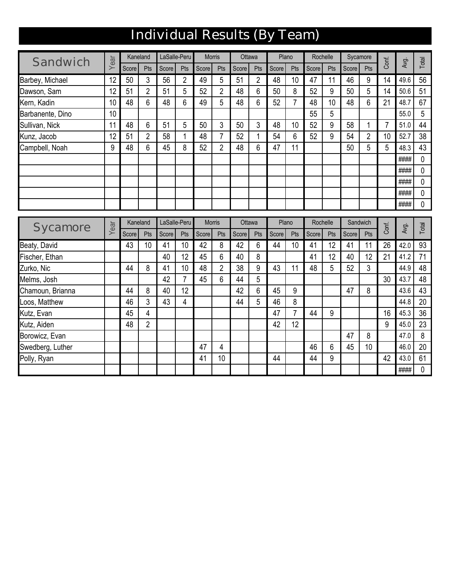## Individual Results (By Team)

| Sandwich         |      | Kaneland |                | LaSalle-Peru |                | <b>Morris</b> |                | Ottawa |                | Plano |                | Rochelle |     |       | Sycamore       |                |      |              |
|------------------|------|----------|----------------|--------------|----------------|---------------|----------------|--------|----------------|-------|----------------|----------|-----|-------|----------------|----------------|------|--------------|
|                  | Year | Score    | Pts            | Score        | Pts            | Score         | Pts            | Score  | Pts            | Score | Pts            | Score    | Pts | Score | Pts            | Conf.          | Avg. | Total        |
| Barbey, Michael  | 12   | 50       | 3              | 56           | 2              | 49            | 5              | 51     | $\overline{2}$ | 48    | 10             | 47       | 11  | 46    | 9              | 14             | 49.6 | 56           |
| Dawson, Sam      | 12   | 51       | $\overline{2}$ | 51           | 5              | 52            | $\overline{2}$ | 48     | 6              | 50    | 8              | 52       | 9   | 50    | 5              | 14             | 50.6 | 51           |
| Kern, Kadin      | 10   | 48       | 6              | 48           | 6              | 49            | 5              | 48     | 6              | 52    | $\overline{7}$ | 48       | 10  | 48    | 6              | 21             | 48.7 | 67           |
| Barbanente, Dino | 10   |          |                |              |                |               |                |        |                |       |                | 55       | 5   |       |                |                | 55.0 | 5            |
| Sullivan, Nick   | 11   | 48       | 6              | 51           | 5              | 50            | 3              | 50     | 3              | 48    | 10             | 52       | 9   | 58    | 1              | $\overline{7}$ | 51.0 | 44           |
| Kunz, Jacob      | 12   | 51       | $\overline{2}$ | 58           | 1              | 48            | $\overline{7}$ | 52     | 1              | 54    | 6              | 52       | 9   | 54    | $\overline{2}$ | 10             | 52.7 | 38           |
| Campbell, Noah   | 9    | 48       | 6              | 45           | 8              | 52            | $\overline{2}$ | 48     | 6              | 47    | 11             |          |     | 50    | 5              | 5              | 48.3 | 43           |
|                  |      |          |                |              |                |               |                |        |                |       |                |          |     |       |                |                | #### | 0            |
|                  |      |          |                |              |                |               |                |        |                |       |                |          |     |       |                |                | #### | 0            |
|                  |      |          |                |              |                |               |                |        |                |       |                |          |     |       |                |                | #### | 0            |
|                  |      |          |                |              |                |               |                |        |                |       |                |          |     |       |                |                | #### | $\mathbf{0}$ |
|                  |      |          |                |              |                |               |                |        |                |       |                |          |     |       |                |                | #### | 0            |
|                  |      |          | Kaneland       |              | LaSalle-Peru   | <b>Morris</b> |                | Ottawa |                |       | Plano          | Rochelle |     |       | Sandwich       |                |      |              |
| Sycamore         | Year | Score    | Pts            | Score        | Pts            | Score         | Pts            | Score  | Pts            | Score | Pts            | Score    | Pts | Score | Pts            | Conf.          | Avg. | Total        |
| Beaty, David     |      | 43       | 10             | 41           | 10             | 42            | 8              | 42     | 6              | 44    | 10             | 41       | 12  | 41    | 11             | 26             | 42.0 | 93           |
| Fischer, Ethan   |      |          |                | 40           | 12             | 45            | 6              | 40     | 8              |       |                | 41       | 12  | 40    | 12             | 21             | 41.2 | 71           |
| Zurko, Nic       |      | 44       | 8              | 41           | 10             | 48            | $\overline{2}$ | 38     | 9              | 43    | 11             | 48       | 5   | 52    | 3              |                | 44.9 | 48           |
| Melms, Josh      |      |          |                | 42           | $\overline{7}$ | 45            | 6              | 44     | 5              |       |                |          |     |       |                | 30             | 43.7 | 48           |
| Chamoun, Brianna |      | 44       |                |              |                |               |                |        |                |       |                |          |     |       |                |                | 43.6 | 43           |
|                  |      |          | 8              | 40           | 12             |               |                | 42     | 6              | 45    | 9              |          |     | 47    | 8              |                |      |              |
| Loos, Matthew    |      | 46       | 3              | 43           | 4              |               |                | 44     | 5              | 46    | 8              |          |     |       |                |                | 44.8 | 20           |
| Kutz, Evan       |      | 45       | 4              |              |                |               |                |        |                | 47    | $\overline{7}$ | 44       | 9   |       |                | 16             | 45.3 | 36           |
| Kutz, Aiden      |      | 48       | $\overline{2}$ |              |                |               |                |        |                | 42    | 12             |          |     |       |                | 9              | 45.0 | 23           |
| Borowicz, Evan   |      |          |                |              |                |               |                |        |                |       |                |          |     | 47    | 8              |                | 47.0 | 8            |
| Swedberg, Luther |      |          |                |              |                | 47            | 4              |        |                |       |                | 46       | 6   | 45    | 10             |                | 46.0 | 20           |

#### 0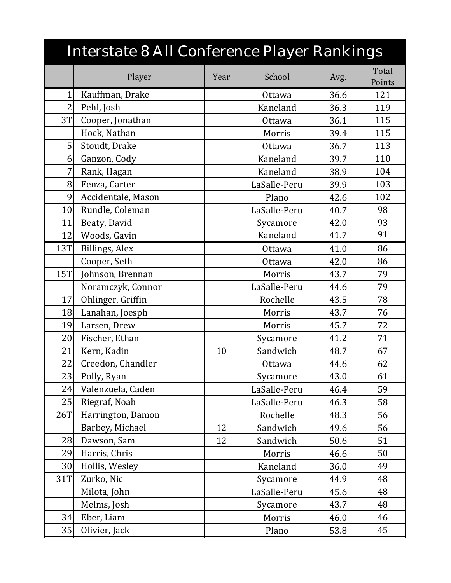|                | Interstate 8 All Conference Player Rankings |      |              |      |                 |
|----------------|---------------------------------------------|------|--------------|------|-----------------|
|                | Player                                      | Year | School       | Avg. | Total<br>Points |
| 1              | Kauffman, Drake                             |      | Ottawa       | 36.6 | 121             |
| $\overline{2}$ | Pehl, Josh                                  |      | Kaneland     | 36.3 | 119             |
| 3T             | Cooper, Jonathan                            |      | Ottawa       | 36.1 | 115             |
|                | Hock, Nathan                                |      | Morris       | 39.4 | 115             |
| 5              | Stoudt, Drake                               |      | Ottawa       | 36.7 | 113             |
| 6              | Ganzon, Cody                                |      | Kaneland     | 39.7 | 110             |
| 7              | Rank, Hagan                                 |      | Kaneland     | 38.9 | 104             |
| 8              | Fenza, Carter                               |      | LaSalle-Peru | 39.9 | 103             |
| 9              | Accidentale, Mason                          |      | Plano        | 42.6 | 102             |
| 10             | Rundle, Coleman                             |      | LaSalle-Peru | 40.7 | 98              |
| 11             | Beaty, David                                |      | Sycamore     | 42.0 | 93              |
| 12             | Woods, Gavin                                |      | Kaneland     | 41.7 | 91              |
| 13T            | Billings, Alex                              |      | Ottawa       | 41.0 | 86              |
|                | Cooper, Seth                                |      | Ottawa       | 42.0 | 86              |
| <b>15T</b>     | Johnson, Brennan                            |      | Morris       | 43.7 | 79              |
|                | Noramczyk, Connor                           |      | LaSalle-Peru | 44.6 | 79              |
| 17             | Ohlinger, Griffin                           |      | Rochelle     | 43.5 | 78              |
| 18             | Lanahan, Joesph                             |      | Morris       | 43.7 | 76              |
| 19             | Larsen, Drew                                |      | Morris       | 45.7 | 72              |
| 20             | Fischer, Ethan                              |      | Sycamore     | 41.2 | 71              |
| 21             | Kern, Kadin                                 | 10   | Sandwich     | 48.7 | 67              |
| 22             | Creedon, Chandler                           |      | Ottawa       | 44.6 | 62              |
| 23             | Polly, Ryan                                 |      | Sycamore     | 43.0 | 61              |
| 24             | Valenzuela, Caden                           |      | LaSalle-Peru | 46.4 | 59              |
| 25             | Riegraf, Noah                               |      | LaSalle-Peru | 46.3 | 58              |
| 26T            | Harrington, Damon                           |      | Rochelle     | 48.3 | 56              |
|                | Barbey, Michael                             | 12   | Sandwich     | 49.6 | 56              |
| 28             | Dawson, Sam                                 | 12   | Sandwich     | 50.6 | 51              |
| 29             | Harris, Chris                               |      | Morris       | 46.6 | 50              |
| 30             | Hollis, Wesley                              |      | Kaneland     | 36.0 | 49              |
| 31T            | Zurko, Nic                                  |      | Sycamore     | 44.9 | 48              |
|                | Milota, John                                |      | LaSalle-Peru | 45.6 | 48              |
|                | Melms, Josh                                 |      | Sycamore     | 43.7 | 48              |
| 34             | Eber, Liam                                  |      | Morris       | 46.0 | 46              |
| 35             | Olivier, Jack                               |      | Plano        | 53.8 | 45              |